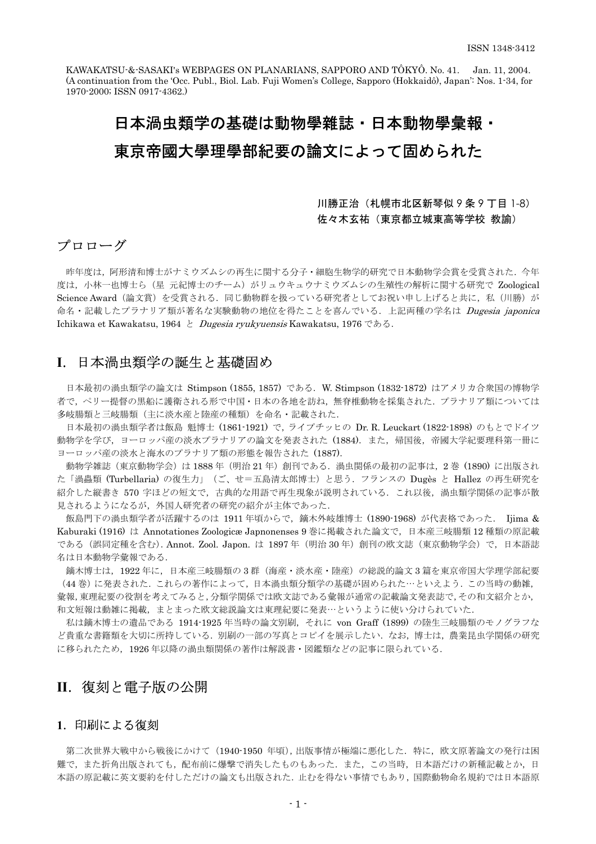KAWAKATSU-&-SASAKI's WEBPAGES ON PLANARIANS, SAPPORO AND TÔKYÔ. No. 41. Jan. 11, 2004. (A continuation from the 'Occ. Publ., Biol. Lab. Fuji Women's College, Sapporo (Hokkaidô), Japan': Nos. 1-34, for 1970-2000; ISSN 0917-4362.)

# 日本渦虫類学の基礎は動物學雜誌 · 日本動物學彙報 · 東京帝國大學理學部紀要の論文によって固められた

#### 川勝正治(札幌市北区新琴似 9 条 9 丁目 1-8) 佐々木玄祐(東京都立城東高等学校 教諭)

## プロローグ

命名・記載したプラナリア類が著名な実験動物の地位を得たことを喜んでいる. 上記両種の学名は *Dugesia japonica* Ichikawa et Kawakatsu, 1964 と *Dugesia ryukyuensis* Kawakatsu, 1976 である. 昨年度は、阿形清和博士がナミウズムシの再生に関する分子・細胞生物学的研究で日本動物学会賞を受賞された.今年 度は、小林一也博士ら(星 元紀博士のチーム)がリュウキュウナミウズムシの生殖性の解析に関する研究で Zoological Science Award (論文賞)を受賞される. 同じ動物群を扱っている研究者としてお祝い申し上げると共に,私(川勝)が

#### **I**.日本渦虫類学の誕生と基礎固め

日本最初の渦虫類学の論文は Stimpson (1855, 1857) である.W. Stimpson (1832-1872) はアメリカ合衆国の博物学 者で,ペリー提督の黒船に護衛される形で中国・日本の各地を訪ね,無脊椎動物を採集された.プラナリア類については 多岐腸類と三岐腸類(主に淡水産と陸産の種類)を命名・記載された.

日本最初の渦虫類学者は飯島 魁博士 (1861-1921) で,ライプチッヒの Dr. R. Leuckart (1822-1898) のもとでドイツ 動物学を学び、ヨーロッパ産の淡水プラナリアの論文を発表された (1884). また、帰国後、帝國大学紀要理科第一冊に ヨーロッパ産の淡水と海水のプラナリア類の形態を報告された (1887).

動物学雑誌(東京動物学会)は 1888年(明治 21年)創刊である. 渦虫関係の最初の記事は, 2巻 (1890) に出版され た「渦蟲類 (Turbellaria) の復生力」(ご、せ=五島清太郎博士)と思う.フランスの Dugès と Hallez の再生研究を 紹介した縦書き 570 字ほどの短文で,古典的な用語で再生現象が説明されている.これ以後,渦虫類学関係の記事が散 見されるようになるが,外国人研究者の研究の紹介が主体であった.

飯島門下の渦虫類学者が活躍するのは 1911 年頃からで、鏑木外岐雄博士 (1890-1968) が代表格であった. Iiima & Kaburaki (1916) は Annotationes Zoologicæ Japnonenses 9 巻に掲載された論文で,日本産三岐腸類 12 種類の原記載 である(誤同定種を含む).Annot. Zool. Japon. は 1897 年(明治 30 年)創刊の欧文誌(東京動物学会)で,日本語誌 名は日本動物学彙報である.

鏑木博士は,1922 年に,日本産三岐腸類の 3 群(海産・淡水産・陸産)の総説的論文 3 篇を東京帝国大学理学部紀要 (44 巻)に発表された.これらの著作によって,日本渦虫類分類学の基礎が固められた…といえよう.この当時の動雑, 彙報,東理紀要の役割を考えてみると,分類学関係では欧文誌である彙報が通常の記載論文発表誌で,その和文紹介とか, 和文短報は動雑に掲載,まとまった欧文総説論文は東理紀要に発表…というように使い分けられていた.

私は鏑木博士の遺品である 1914-1925 年当時の論文別刷,それに von Graff (1899) の陸生三岐腸類のモノグラフな ど貴重な書籍類を大切に所持している.別刷の一部の写真とコピイを展示したい.なお,博士は,農業昆虫学関係の研究 に移られたため,1926 年以降の渦虫類関係の著作は解説書・図鑑類などの記事に限られている.

# **II**.復刻と電子版の公開

### **1**.印刷による復刻

第二次世界大戦中から戦後にかけて(1940-1950 年頃),出版事情が極端に悪化した.特に,欧文原著論文の発行は困 難で、また折角出版されても,配布前に爆撃で消失したものもあった.また、この当時,日本語だけの新種記載とか,日 本語の原記載に英文要約を付しただけの論文も出版された.止むを得ない事情でもあり,国際動物命名規約では日本語原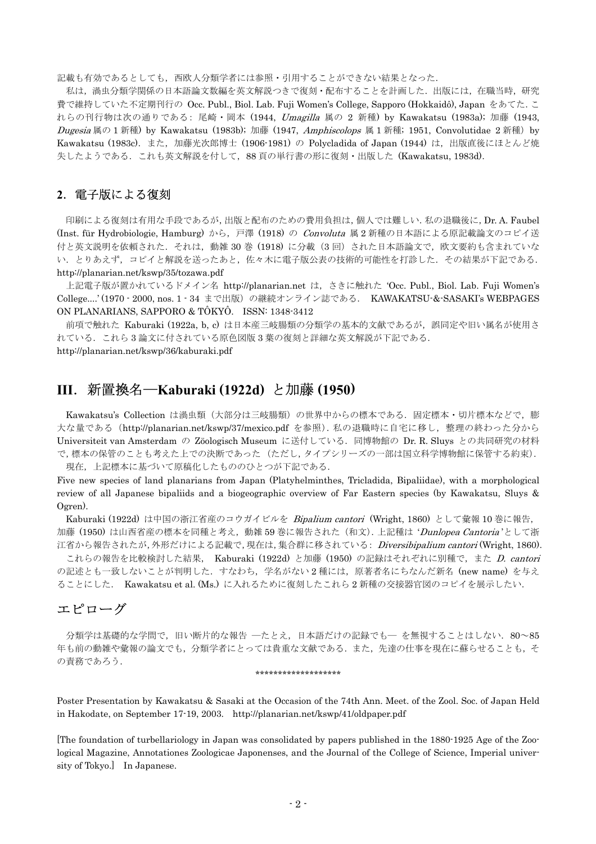記載も有効であるとしても, 西欧人分類学者には参照・引用することができない結果となった.

私は、渦虫分類学関係の日本語論文数編を英文解説つきで復刻・配布することを計画した. 出版には、在職当時,研究 費で維持していた不定期刊行の Occ. Publ., Biol. Lab. Fuji Women's College, Sapporo (Hokkaidô), Japan をあてた.こ れらの刊行物は次の通りである: 尾崎・岡本 (1944, Umagilla 属の 2 新種) by Kawakatsu (1983a); 加藤 (1943, Dugesia 属の 1 新種) by Kawakatsu (1983b); 加藤 (1947, Amphiscolops 属 1 新種; 1951, Convolutidae 2 新種) by Kawakatsu (1983c). また, 加藤光次郎博士 (1906-1981) の Polycladida of Japan (1944) は, 出版直後にほとんど焼 失したようである.これも英文解説を付して,88 頁の単行書の形に復刻・出版した (Kawakatsu, 1983d).

#### **2**.電子版による復刻

印刷による復刻は有用な手段であるが,出版と配布のための費用負担は,個人では難しい.私の退職後に,Dr. A. Faubel (Inst. für Hydrobiologie, Hamburg) から,戸澤 (1918) の Convoluta 属 2 新種の日本語による原記載論文のコピイ送 付と英文説明を依頼された. それは、動雑 30 巻 (1918) に分載 (3回) された日本語論文で、欧文要約も含まれていな い. とりあえず、コピイと解説を送ったあと、佐々木に電子版公表の技術的可能性を打診した. その結果が下記である. http://planarian.net/kswp/35/tozawa.pdf

上記電子版が置かれているドメイン名 http://planarian.net は,さきに触れた 'Occ. Publ., Biol. Lab. Fuji Women's College....' (1970 - 2000, nos. 1 - 34 まで出版)の継続オンライン誌である. KAWAKATSU-&-SASAKI's WEBPAGES ON PLANARIANS, SAPPORO & TÔKYÔ. ISSN: 1348-3412

前項で触れた Kaburaki (1922a, b, c) は日本産三岐腸類の分類学の基本的文献であるが,誤同定や旧い属名が使用さ れている.これら 3 論文に付されている原色図版 3 葉の復刻と詳細な英文解説が下記である. http://planarian.net/kswp/36/kaburaki.pdf

# **III**.新置換名―**Kaburaki (1922d)** と加藤 **(1950)**

Kawakatsu's Collection は渦虫類(大部分は三岐腸類)の世界中からの標本である.固定標本・切片標本などで,膨 大な量である (http://planarian.net/kswp/37/mexico.pdf を参照). 私の退職時に自宅に移し, 整理の終わった分から Universiteit van Amsterdam の Zöologisch Museum に送付している.同博物館の Dr. R. Sluys との共同研究の材料 で,標本の保管のことも考えた上での決断であった(ただし,タイプシリーズの一部は国立科学博物館に保管する約束). 現在,上記標本に基づいて原稿化したもののひとつが下記である.

Five new species of land planarians from Japan (Platyhelminthes, Tricladida, Bipaliidae), with a morphological review of all Japanese bipaliids and a biogeographic overview of Far Eastern species (by Kawakatsu, Sluys & Ogren).

Kaburaki (1922d) は中国の浙江省産のコウガイビルを Bipalium cantori (Wright, 1860) として彙報 10 巻に報告, 加藤 (1950) は山西省産の標本を同種と考え、動雑 59 巻に報告された (和文). 上記種は 'Dunlopea Cantoria'として浙 江省から報告されたが,外形だけによる記載で,現在は,集合群に移されている: Diversibipalium cantori (Wright, 1860).

これらの報告を比較検討した結果, Kaburaki (1922d) と加藤 (1950) の記録はそれぞれに別種で,また D. cantori の記述とも一致しないことが判明した. すなわち、学名がない2種には、原著者名にちなんだ新名 (new name) を与え ることにした. Kawakatsu et al. (Ms.) に入れるために復刻したこれら 2 新種の交接器官図のコピイを展示したい.

#### エピローグ

分類学は基礎的な学問で、旧い断片的な報告 ―たとえ、日本語だけの記録でも― を無視することはしない. 80~85 年も前の動雑や彙報の論文でも,分類学者にとっては貴重な文献である.また、先達の仕事を現在に蘇らせることも,そ の責務であろう.

#### \*\*\*\*\*\*\*\*\*\*\*\*\*\*\*\*\*\*\*

Poster Presentation by Kawakatsu & Sasaki at the Occasion of the 74th Ann. Meet. of the Zool. Soc. of Japan Held in Hakodate, on September 17-19, 2003. http://planarian.net/kswp/41/oldpaper.pdf

[The foundation of turbellariology in Japan was consolidated by papers published in the 1880-1925 Age of the Zoological Magazine, Annotationes Zoologicae Japonenses, and the Journal of the College of Science, Imperial university of Tokyo.] In Japanese.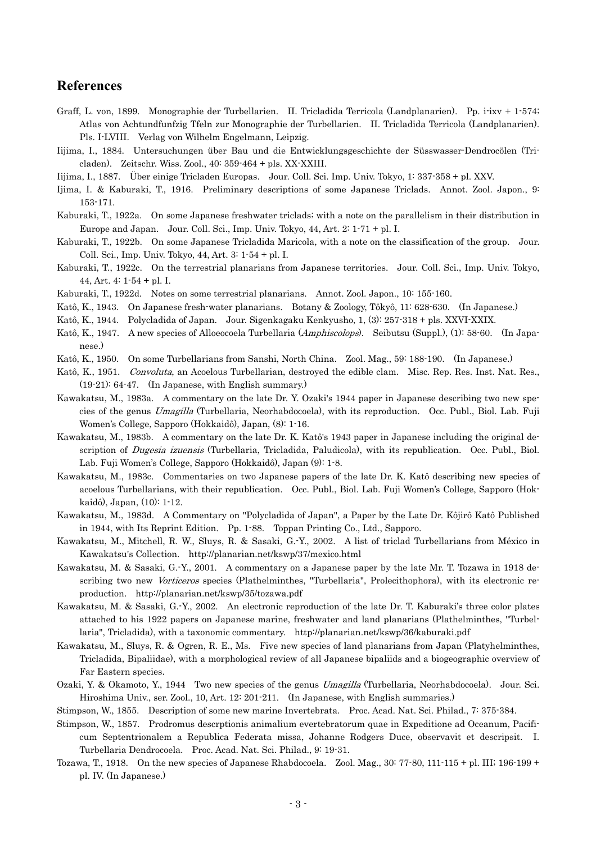#### **References**

- Graff, L. von, 1899. Monographie der Turbellarien. II. Tricladida Terricola (Landplanarien). Pp. i-ixv + 1-574; Atlas von Achtundfunfzig Tfeln zur Monographie der Turbellarien. II. Tricladida Terricola (Landplanarien). Pls. I-LVIII. Verlag von Wilhelm Engelmann, Leipzig.
- Iijima, I., 1884. Untersuchungen über Bau und die Entwicklungsgeschichte der Süsswasser-Dendrocölen (Tricladen). Zeitschr. Wiss. Zool., 40: 359-464 + pls. XX-XXIII.
- Iijima, I., 1887. Über einige Tricladen Europas. Jour. Coll. Sci. Imp. Univ. Tokyo, 1: 337-358 + pl. XXV.
- Ijima, I. & Kaburaki, T., 1916. Preliminary descriptions of some Japanese Triclads. Annot. Zool. Japon., 9: 153-171.

Kaburaki, T., 1922a. On some Japanese freshwater triclads; with a note on the parallelism in their distribution in Europe and Japan. Jour. Coll. Sci., Imp. Univ. Tokyo, 44, Art. 2: 1-71 + pl. I.

- Kaburaki, T., 1922b. On some Japanese Tricladida Maricola, with a note on the classification of the group. Jour. Coll. Sci., Imp. Univ. Tokyo, 44, Art. 3: 1-54 + pl. I.
- Kaburaki, T., 1922c. On the terrestrial planarians from Japanese territories. Jour. Coll. Sci., Imp. Univ. Tokyo, 44, Art. 4: 1-54 + pl. I.
- Kaburaki, T., 1922d. Notes on some terrestrial planarians. Annot. Zool. Japon., 10: 155-160.
- Katô, K., 1943. On Japanese fresh-water planarians. Botany & Zoology, Tôkyô, 11: 628-630. (In Japanese.)
- Katô, K., 1944. Polycladida of Japan. Jour. Sigenkagaku Kenkyusho, 1, (3): 257-318 + pls. XXVI-XXIX.
- Katô, K., 1947. A new species of Alloeocoela Turbellaria (Amphiscolops). Seibutsu (Suppl.), (1): 58-60. (In Japanese.)
- Katô, K., 1950. On some Turbellarians from Sanshi, North China. Zool. Mag., 59: 188-190. (In Japanese.)
- Katô, K., 1951. Convoluta, an Acoelous Turbellarian, destroyed the edible clam. Misc. Rep. Res. Inst. Nat. Res., (19-21): 64-47. (In Japanese, with English summary.)
- Kawakatsu, M., 1983a. A commentary on the late Dr. Y. Ozaki's 1944 paper in Japanese describing two new species of the genus Umagilla (Turbellaria, Neorhabdocoela), with its reproduction. Occ. Publ., Biol. Lab. Fuji Women's College, Sapporo (Hokkaidô), Japan, (8): 1-16.
- Kawakatsu, M., 1983b. A commentary on the late Dr. K. Katô's 1943 paper in Japanese including the original description of *Dugesia izuensis* (Turbellaria, Tricladida, Paludicola), with its republication. Occ. Publ., Biol. Lab. Fuji Women's College, Sapporo (Hokkaidô), Japan (9): 1-8.
- Kawakatsu, M., 1983c. Commentaries on two Japanese papers of the late Dr. K. Katô describing new species of acoelous Turbellarians, with their republication. Occ. Publ., Biol. Lab. Fuji Women's College, Sapporo (Hokkaidô), Japan, (10): 1-12.
- Kawakatsu, M., 1983d. A Commentary on "Polycladida of Japan", a Paper by the Late Dr. Kôjirô Katô Published in 1944, with Its Reprint Edition. Pp. 1-88. Toppan Printing Co., Ltd., Sapporo.
- Kawakatsu, M., Mitchell, R. W., Sluys, R. & Sasaki, G.-Y., 2002. A list of triclad Turbellarians from México in Kawakatsu's Collection. http://planarian.net/kswp/37/mexico.html
- Kawakatsu, M. & Sasaki, G.-Y., 2001. A commentary on a Japanese paper by the late Mr. T. Tozawa in 1918 describing two new Vorticeros species (Plathelminthes, "Turbellaria", Prolecithophora), with its electronic reproduction. http://planarian.net/kswp/35/tozawa.pdf
- Kawakatsu, M. & Sasaki, G.-Y., 2002. An electronic reproduction of the late Dr. T. Kaburaki's three color plates attached to his 1922 papers on Japanese marine, freshwater and land planarians (Plathelminthes, "Turbellaria", Tricladida), with a taxonomic commentary. http://planarian.net/kswp/36/kaburaki.pdf
- Kawakatsu, M., Sluys, R. & Ogren, R. E., Ms. Five new species of land planarians from Japan (Platyhelminthes, Tricladida, Bipaliidae), with a morphological review of all Japanese bipaliids and a biogeographic overview of Far Eastern species.
- Ozaki, Y. & Okamoto, Y., 1944 Two new species of the genus *Umagilla* (Turbellaria, Neorhabdocoela). Jour. Sci. Hiroshima Univ., ser. Zool., 10, Art. 12: 201-211. (In Japanese, with English summaries.)
- Stimpson, W., 1855. Description of some new marine Invertebrata. Proc. Acad. Nat. Sci. Philad., 7: 375-384.
- Stimpson, W., 1857. Prodromus descrptionis animalium evertebratorum quae in Expeditione ad Oceanum, Pacificum Septentrionalem a Republica Federata missa, Johanne Rodgers Duce, observavit et descripsit. I. Turbellaria Dendrocoela. Proc. Acad. Nat. Sci. Philad., 9: 19-31.
- Tozawa, T., 1918. On the new species of Japanese Rhabdocoela. Zool. Mag., 30: 77-80, 111-115 + pl. III; 196-199 + pl. IV. (In Japanese.)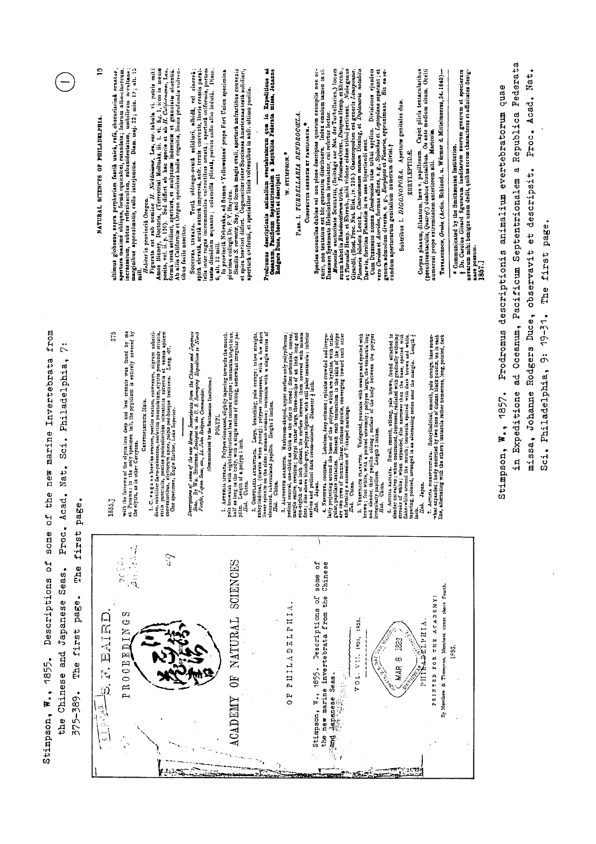| 日<br>froi<br>⊳<br>٢Ú<br>٠<br>Invertebrat<br>Philadelphia<br>marine<br>٠<br>Sci<br>٠<br>nen<br>Nat.<br>the<br>ad.<br>٠<br>ω<br>pag<br>Š<br>ď<br>Proc.<br>some<br>first<br>۹<br>o<br>The<br>Seas<br>Descriptions<br>٠<br>Japanese<br>page.<br>first<br>The | $\mathbf{r}$<br>NATURAL SCIENCES OF PHILADELPHIA                      | $\frac{12}{1}$<br>ulimus globosus, supra perpheriam fascià unicà, rufa, obscurissina ornatus, apertura maxime obliqua, forma equicales, roumdata; labrum dibo-cinereum anticae, apertura proprietativa di controlle di controlle di controlle di<br>ā<br>Ĕ<br>515<br>5<br>und by<br>found<br>entirely<br>the elytra loss deep and less crenate was<br>only specimen left, the pygidium is entire<br>with the furrows of the elytra less<br>at Panama: in the only speciments<br>the elytra, as in other Cercyons.<br>$\overline{5}$<br>185<br>$\cdot$ $\cdot$<br>$\cdot$<br>ой.<br>С<br>$\frac{1}{2}$<br>PROCEEDINGS<br>BAIRD<br>.<br>اس | <i>Haidat</i> in provincia Oregon <i>I. Nicklaiane</i> , Len, eer. tabula vi, patris miti.<br>Amos Bianey, Doctoria, (Terrestrial Molluska, iii. t. vi. fig. 1, icon in meato<br>positi, vol. ii. p. 120). Sed differt ab hac specie et ab <i>II.</i><br>tibus facile noscitur.<br>1. C. * a g a n brevius ovatum, posite a catum, convexum, nigrum sthoiti-<br>dum, subilitet favo-pubescens, conferim practialitum, elytris profunde striatis,<br>attivis reachiss, elytroteo patec, papius interstitis externis et<br>Carrrortzungung.<br>़ | leits inter rugas incrementales volventibus ornata; apertura oviformis, purtem<br>spiră elevată, acută sutură impressă, anfr. ternis convexis, lineis crassis paral-<br>Diam.<br>cinerea<br>testa dimidiam æquante; columella plicata, pariete callo allo indutà.<br>Ē<br>albidå,<br>Testa oblongo-ovata solidiori,<br>SUCCINEA LINEATA.<br>(Communicated by the Smithsonian Institution.) | ' In provincià Nebraska, ad flumen 'Ycllowstone' prope Fort Union specimina<br>plurima collegit Dr. F. V. Hayden<br>et spira breviori differt. Cognosciur inter Succinesa Americanas testà solidiori,<br>aperturà oviformi, et specialiter lineis volventibus in anfr. ultimo positis<br>6, alt. 12 mill.<br>Asvezzia arxistra. Polypet sionaned, slighly tspering towards the month.<br>as long ra the tofy, when the distribution of stripes ; tentaetha bright blue,<br>as long the tofy, when the strip is series of oblog, somewhat irregula<br>POLTPL<br>ub.<br>$ \frac{2}{5}$ $\frac{1}{4}$ $\frac{8}{4}$ $\frac{3}{4}$<br>OF NATURAL SCIENCES | Prodromus descriptionis animalium everabratorum ques in Expeditione ad Real de la Septembre de Salonia de la S<br>Description de la Septembre de la Septembre Pederata missa, folamme<br>2. Convenint annuarisca. Large, branching pale orange; tobe straight, and political (darster when young); polypes transparent, which a few short linear spients of the sloot linear spients of the sloot linear spients of the | PARS. I. TURBELLARIA DENDROCŒLA.<br>Сомагастов одиникат възникати.<br>W. STIMPSON. <sup>*</sup><br>PHITADELPHIA | <i>Menocial</i> auctoriate Servirran, (Beitrage ant Nut. der Turbellarien,) locum<br>et Turbellarien et Shervon, mini videur esterre Durgena in Turbellarien, locum<br>et Turbell, (Bont Proc. Nat. Hist, 17, 210.) Gasteropodum est gen<br>Species nonnullas dubias vei non plene descriptias quarum exemplis non occurri, non tentatum est hic generatim distribuere. Index omnium tamen in cl.<br>Curri, non tentatum est hic generatim distribuere. Index omnium tamen in<br>3. Accrossing a anticity. Nathrose-abspect, proper surface only polyicistas;<br>a crossing a anticity, Nathrose-abspect, its argue and the second in the control of an and problem of an including the second in the figure in t<br>some of<br>Chinese<br>the<br>눵<br>Descriptions | Cum Drasusco nomen Dendroceda totas tribui applico. Divisiones ejusdem<br>vero Ceridae et Aceridea, formas affines, e. g., Sydochus et Leptoplana separant; et<br>1855.<br>$\frac{1}{2}$ | Sic ease-<br>Apertura genitales duas<br>genera admodum diversa, e. g., Euryiepas et Planaria, approximant.<br>cundum aperturarum genitalium numerum divisi.†<br>EURYLEPTIDA.<br>Subtribus I. DIGONOPORA.<br>1883<br>$\infty$<br><b>MAR</b> | Caput plicis tentacularibus<br>Os ante medium situm. Ocelli<br>THYBANOZOON, Grude. (Actin. Echinod. u. Würmer d. Mittelmeeres, 54.1840)-<br>(pseudotentaculis, Quatrey.) dusbus frontalibus. Os ante<br>numerosi prope extremitatem anteriorem siti. Maricolas<br>Corpus planum, dilatatum, læve v. papillosum.<br>Dy Mertilem & Thompson, Merchant circet above Fourth.<br>ANNIQUE CHE SHE STANDER<br><b>VIRATREF</b> | † Dr. Carolus Girard figurarum ineditarum suorum generum et specierum<br>novarum mihi benigne usum dedit, quibus eorom characteres et affinitates desig-<br>* Communicated by the Smithsonian Institution.<br>nare possum.<br>1857.]<br>1850. | Federata<br>quae<br>descriptionis animalium evertebratorum<br>Republica<br>Septentrionalem<br>Pacificum<br>Oceanum,<br>Prodromus<br>್ದರ<br>1857.<br>Expeditione<br>$W_{\bullet}$ ,<br>Stimpson,<br>Ę |
|----------------------------------------------------------------------------------------------------------------------------------------------------------------------------------------------------------------------------------------------------------|-----------------------------------------------------------------------|------------------------------------------------------------------------------------------------------------------------------------------------------------------------------------------------------------------------------------------------------------------------------------------------------------------------------------------------------------------------------------------------------------------------------------------------------------------------------------------------------------------------------------------------------------------------------------------------------------------------------------------|------------------------------------------------------------------------------------------------------------------------------------------------------------------------------------------------------------------------------------------------------------------------------------------------------------------------------------------------------------------------------------------------------------------------------------------------------------------------------------------------------------------------------------------------|--------------------------------------------------------------------------------------------------------------------------------------------------------------------------------------------------------------------------------------------------------------------------------------------------------------------------------------------------------------------------------------------|-------------------------------------------------------------------------------------------------------------------------------------------------------------------------------------------------------------------------------------------------------------------------------------------------------------------------------------------------------------------------------------------------------------------------------------------------------------------------------------------------------------------------------------------------------------------------------------------------------------------------------------------------------|-------------------------------------------------------------------------------------------------------------------------------------------------------------------------------------------------------------------------------------------------------------------------------------------------------------------------------------------------------------------------------------------------------------------------|-----------------------------------------------------------------------------------------------------------------|---------------------------------------------------------------------------------------------------------------------------------------------------------------------------------------------------------------------------------------------------------------------------------------------------------------------------------------------------------------------------------------------------------------------------------------------------------------------------------------------------------------------------------------------------------------------------------------------------------------------------------------------------------------------------------------------------------------------------------------------------------------------|------------------------------------------------------------------------------------------------------------------------------------------------------------------------------------------|--------------------------------------------------------------------------------------------------------------------------------------------------------------------------------------------------------------------------------------------|------------------------------------------------------------------------------------------------------------------------------------------------------------------------------------------------------------------------------------------------------------------------------------------------------------------------------------------------------------------------------------------------------------------------|-----------------------------------------------------------------------------------------------------------------------------------------------------------------------------------------------------------------------------------------------|------------------------------------------------------------------------------------------------------------------------------------------------------------------------------------------------------|
| Chinese and<br>1855.<br>$\ddot{w}$ .<br>٠<br>375-389<br>Stimpson,<br>the                                                                                                                                                                                 | U)<br>$\frac{\partial}{\partial t}$<br>4<br>$\ddot{\phantom{0}}$<br>ŵ | $\frac{1}{\sqrt{2}}$                                                                                                                                                                                                                                                                                                                                                                                                                                                                                                                                                                                                                     |                                                                                                                                                                                                                                                                                                                                                                                                                                                                                                                                                |                                                                                                                                                                                                                                                                                                                                                                                            | ${\tt AGADEMY}$                                                                                                                                                                                                                                                                                                                                                                                                                                                                                                                                                                                                                                       |                                                                                                                                                                                                                                                                                                                                                                                                                         | E<br>O                                                                                                          | the new marine invertebrata from<br>1855.<br>Japanese Seas.<br>$\ddot{r}$ .<br>Stimpson,<br>ੇ<br>ਸੂਬ                                                                                                                                                                                                                                                                                                                                                                                                                                                                                                                                                                                                                                                                | VOL. VII. 1854,                                                                                                                                                                          |                                                                                                                                                                                                                                            |                                                                                                                                                                                                                                                                                                                                                                                                                        |                                                                                                                                                                                                                                               |                                                                                                                                                                                                      |

 $\epsilon$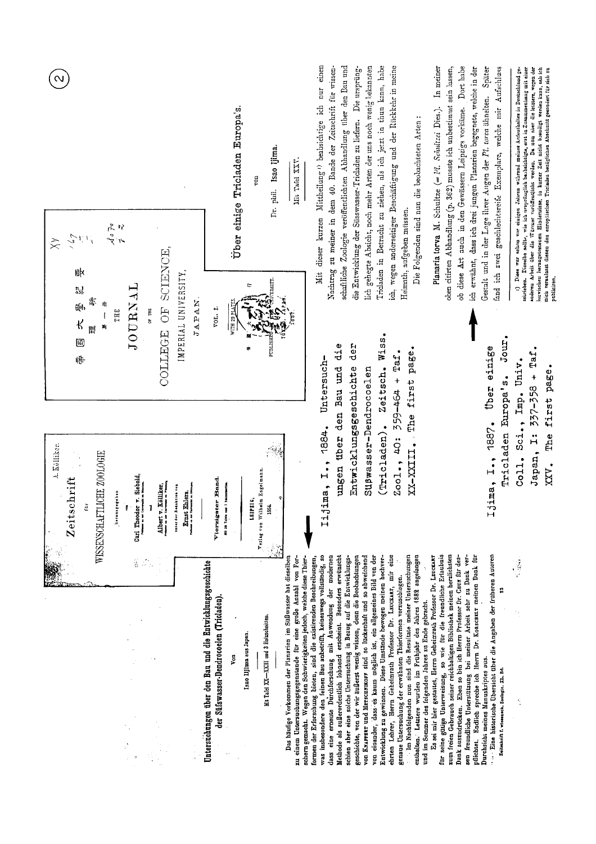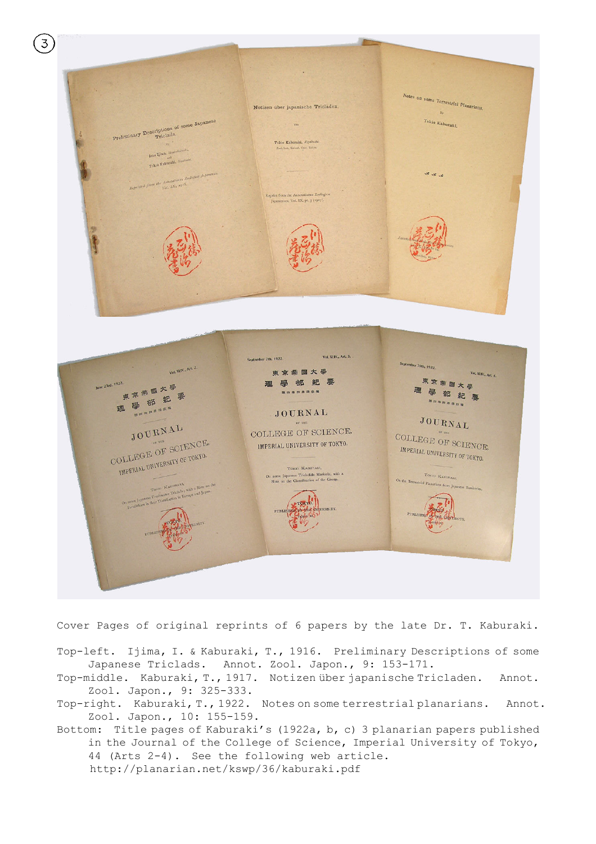

Cover Pages of original reprints of 6 papers by the late Dr. T. Kaburaki.

- Top-left. Ijima, I. & Kaburaki, T., 1916. Preliminary Descriptions of some Japanese Triclads. Annot. Zool. Japon., 9: 153-171.
- Top-middle. Kaburaki, T., 1917. Notizen über japanische Tricladen. Annot. Zool. Japon., 9: 325-333.
- Top-right. Kaburaki, T., 1922. Notes on some terrestrial planarians. Annot. Zool. Japon., 10: 155-159.
- Bottom: Title pages of Kaburaki's (1922a, b, c) 3 planarian papers published in the Journal of the College of Science, Imperial University of Tokyo, 44 (Arts 2-4). See the following web article. http://planarian.net/kswp/36/kaburaki.pdf